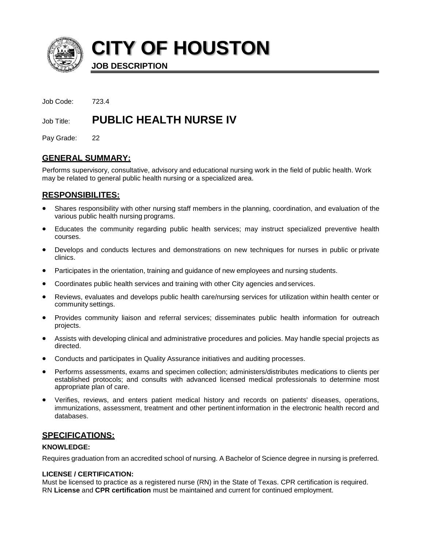

**CITY OF HOUSTON**

**JOB DESCRIPTION**

Job Code: 723.4

# Job Title: **PUBLIC HEALTH NURSE IV**

Pay Grade: 22

# **GENERAL SUMMARY:**

Performs supervisory, consultative, advisory and educational nursing work in the field of public health. Work may be related to general public health nursing or a specialized area.

# **RESPONSIBILITES:**

- Shares responsibility with other nursing staff members in the planning, coordination, and evaluation of the various public health nursing programs.
- Educates the community regarding public health services; may instruct specialized preventive health courses.
- Develops and conducts lectures and demonstrations on new techniques for nurses in public or private clinics.
- Participates in the orientation, training and guidance of new employees and nursing students.
- Coordinates public health services and training with other City agencies and services.
- Reviews, evaluates and develops public health care/nursing services for utilization within health center or community settings.
- Provides community liaison and referral services; disseminates public health information for outreach projects.
- Assists with developing clinical and administrative procedures and policies. May handle special projects as directed.
- Conducts and participates in Quality Assurance initiatives and auditing processes.
- Performs assessments, exams and specimen collection; administers/distributes medications to clients per established protocols; and consults with advanced licensed medical professionals to determine most appropriate plan of care.
- Verifies, reviews, and enters patient medical history and records on patients' diseases, operations, immunizations, assessment, treatment and other pertinent information in the electronic health record and databases.

# **SPECIFICATIONS:**

# **KNOWLEDGE:**

Requires graduation from an accredited school of nursing. A Bachelor of Science degree in nursing is preferred.

# **LICENSE / CERTIFICATION:**

Must be licensed to practice as a registered nurse (RN) in the State of Texas. CPR certification is required. RN **License** and **CPR certification** must be maintained and current for continued employment.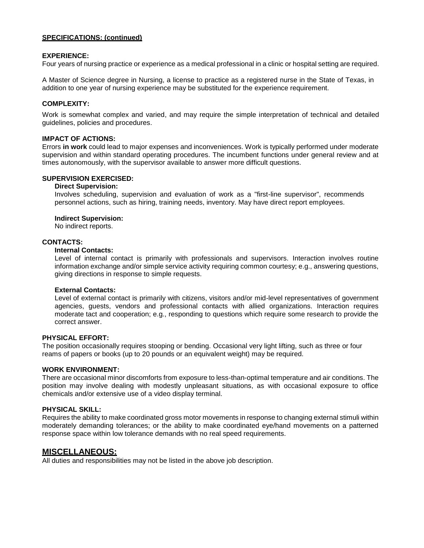## **SPECIFICATIONS: (continued)**

### **EXPERIENCE:**

Four years of nursing practice or experience as a medical professional in a clinic or hospital setting are required.

A Master of Science degree in Nursing, a license to practice as a registered nurse in the State of Texas, in addition to one year of nursing experience may be substituted for the experience requirement.

### **COMPLEXITY:**

Work is somewhat complex and varied, and may require the simple interpretation of technical and detailed guidelines, policies and procedures.

#### **IMPACT OF ACTIONS:**

Errors **in work** could lead to major expenses and inconveniences. Work is typically performed under moderate supervision and within standard operating procedures. The incumbent functions under general review and at times autonomously, with the supervisor available to answer more difficult questions.

## **SUPERVISION EXERCISED:**

### **Direct Supervision:**

Involves scheduling, supervision and evaluation of work as a "first-line supervisor", recommends personnel actions, such as hiring, training needs, inventory. May have direct report employees.

#### **Indirect Supervision:**

No indirect reports.

#### **CONTACTS:**

#### **Internal Contacts:**

Level of internal contact is primarily with professionals and supervisors. Interaction involves routine information exchange and/or simple service activity requiring common courtesy; e.g., answering questions, giving directions in response to simple requests.

#### **External Contacts:**

Level of external contact is primarily with citizens, visitors and/or mid-level representatives of government agencies, guests, vendors and professional contacts with allied organizations. Interaction requires moderate tact and cooperation; e.g., responding to questions which require some research to provide the correct answer.

#### **PHYSICAL EFFORT:**

The position occasionally requires stooping or bending. Occasional very light lifting, such as three or four reams of papers or books (up to 20 pounds or an equivalent weight) may be required.

#### **WORK ENVIRONMENT:**

There are occasional minor discomforts from exposure to less-than-optimal temperature and air conditions. The position may involve dealing with modestly unpleasant situations, as with occasional exposure to office chemicals and/or extensive use of a video display terminal.

#### **PHYSICAL SKILL:**

Requires the ability to make coordinated gross motor movements in response to changing external stimuli within moderately demanding tolerances; or the ability to make coordinated eye/hand movements on a patterned response space within low tolerance demands with no real speed requirements.

### **MISCELLANEOUS:**

All duties and responsibilities may not be listed in the above job description.